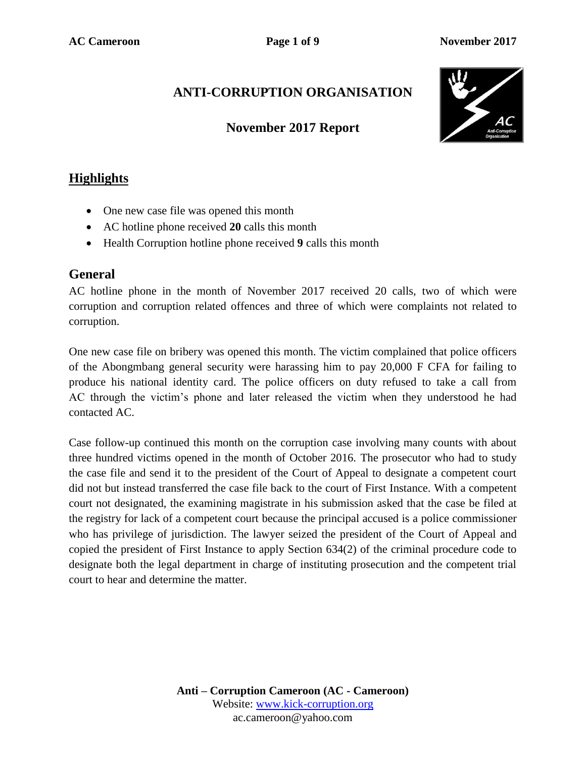## **ANTI-CORRUPTION ORGANISATION**

## **November 2017 Report**



## **Highlights**

- One new case file was opened this month
- AC hotline phone received **20** calls this month
- Health Corruption hotline phone received **9** calls this month

#### **General**

AC hotline phone in the month of November 2017 received 20 calls, two of which were corruption and corruption related offences and three of which were complaints not related to corruption.

One new case file on bribery was opened this month. The victim complained that police officers of the Abongmbang general security were harassing him to pay 20,000 F CFA for failing to produce his national identity card. The police officers on duty refused to take a call from AC through the victim's phone and later released the victim when they understood he had contacted AC.

Case follow-up continued this month on the corruption case involving many counts with about three hundred victims opened in the month of October 2016. The prosecutor who had to study the case file and send it to the president of the Court of Appeal to designate a competent court did not but instead transferred the case file back to the court of First Instance. With a competent court not designated, the examining magistrate in his submission asked that the case be filed at the registry for lack of a competent court because the principal accused is a police commissioner who has privilege of jurisdiction. The lawyer seized the president of the Court of Appeal and copied the president of First Instance to apply Section 634(2) of the criminal procedure code to designate both the legal department in charge of instituting prosecution and the competent trial court to hear and determine the matter.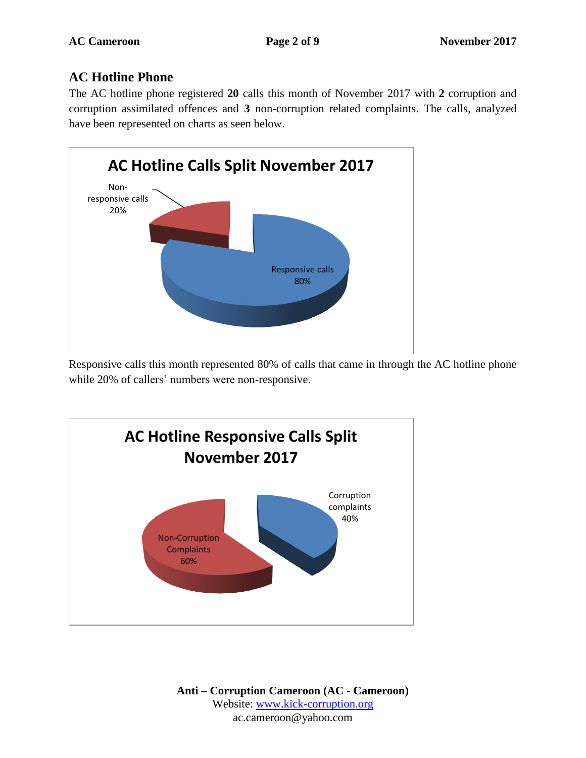### **AC Hotline Phone**

The AC hotline phone registered **20** calls this month of November 2017 with **2** corruption and corruption assimilated offences and **3** non-corruption related complaints. The calls, analyzed have been represented on charts as seen below.



Responsive calls this month represented 80% of calls that came in through the AC hotline phone while 20% of callers' numbers were non-responsive.

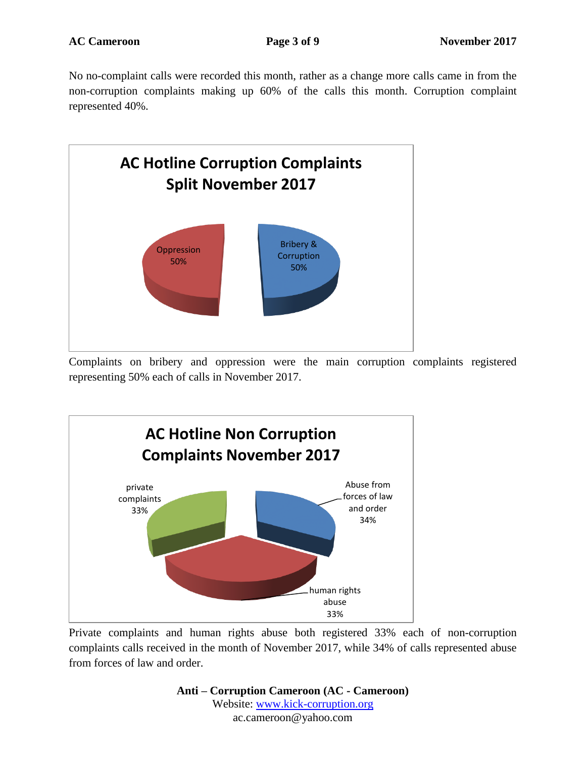No no-complaint calls were recorded this month, rather as a change more calls came in from the non-corruption complaints making up 60% of the calls this month. Corruption complaint represented 40%.



Complaints on bribery and oppression were the main corruption complaints registered representing 50% each of calls in November 2017.



Private complaints and human rights abuse both registered 33% each of non-corruption complaints calls received in the month of November 2017, while 34% of calls represented abuse from forces of law and order.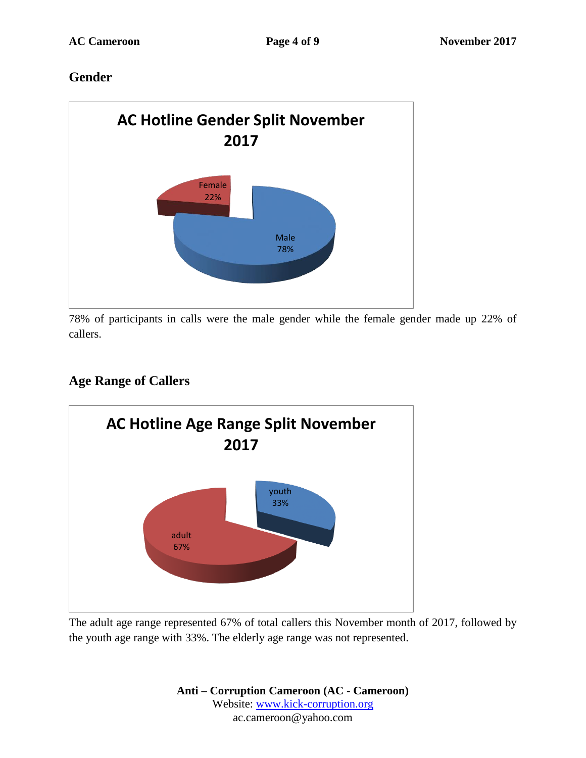## **Gender**



78% of participants in calls were the male gender while the female gender made up 22% of callers.

## **Age Range of Callers**



The adult age range represented 67% of total callers this November month of 2017, followed by the youth age range with 33%. The elderly age range was not represented.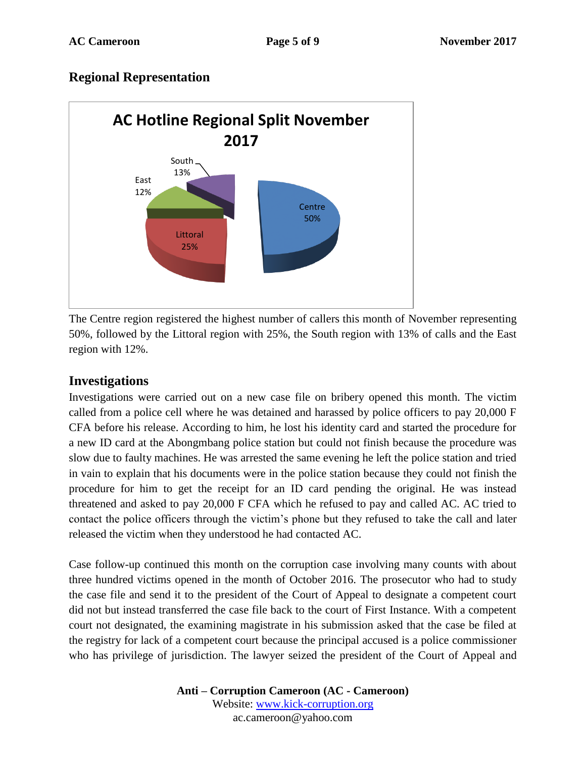#### **Regional Representation**



The Centre region registered the highest number of callers this month of November representing 50%, followed by the Littoral region with 25%, the South region with 13% of calls and the East region with 12%.

#### **Investigations**

Investigations were carried out on a new case file on bribery opened this month. The victim called from a police cell where he was detained and harassed by police officers to pay 20,000 F CFA before his release. According to him, he lost his identity card and started the procedure for a new ID card at the Abongmbang police station but could not finish because the procedure was slow due to faulty machines. He was arrested the same evening he left the police station and tried in vain to explain that his documents were in the police station because they could not finish the procedure for him to get the receipt for an ID card pending the original. He was instead threatened and asked to pay 20,000 F CFA which he refused to pay and called AC. AC tried to contact the police officers through the victim's phone but they refused to take the call and later released the victim when they understood he had contacted AC.

Case follow-up continued this month on the corruption case involving many counts with about three hundred victims opened in the month of October 2016. The prosecutor who had to study the case file and send it to the president of the Court of Appeal to designate a competent court did not but instead transferred the case file back to the court of First Instance. With a competent court not designated, the examining magistrate in his submission asked that the case be filed at the registry for lack of a competent court because the principal accused is a police commissioner who has privilege of jurisdiction. The lawyer seized the president of the Court of Appeal and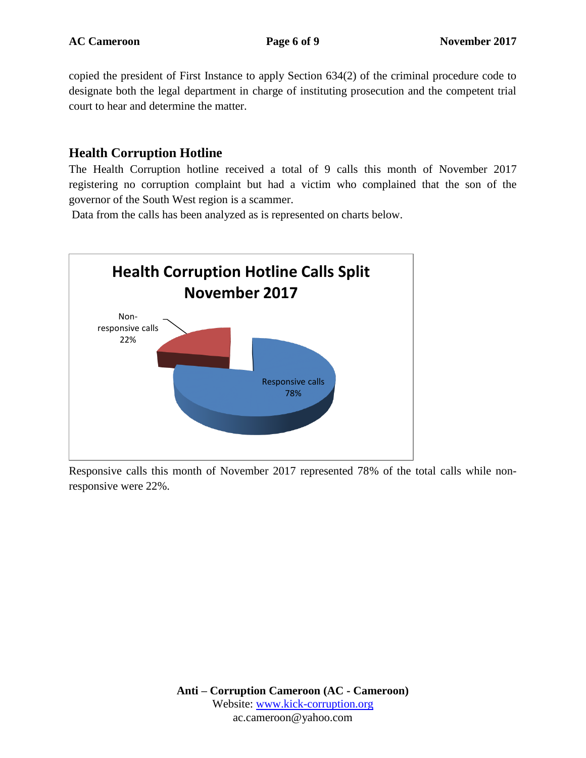copied the president of First Instance to apply Section 634(2) of the criminal procedure code to designate both the legal department in charge of instituting prosecution and the competent trial court to hear and determine the matter.

#### **Health Corruption Hotline**

The Health Corruption hotline received a total of 9 calls this month of November 2017 registering no corruption complaint but had a victim who complained that the son of the governor of the South West region is a scammer.

Data from the calls has been analyzed as is represented on charts below.



Responsive calls this month of November 2017 represented 78% of the total calls while nonresponsive were 22%.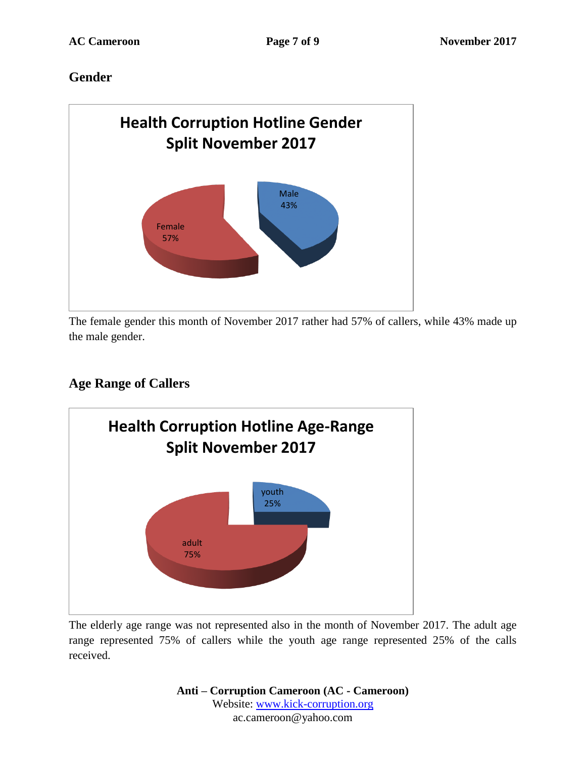## **Gender**



The female gender this month of November 2017 rather had 57% of callers, while 43% made up the male gender.

# **Age Range of Callers**



The elderly age range was not represented also in the month of November 2017. The adult age range represented 75% of callers while the youth age range represented 25% of the calls received.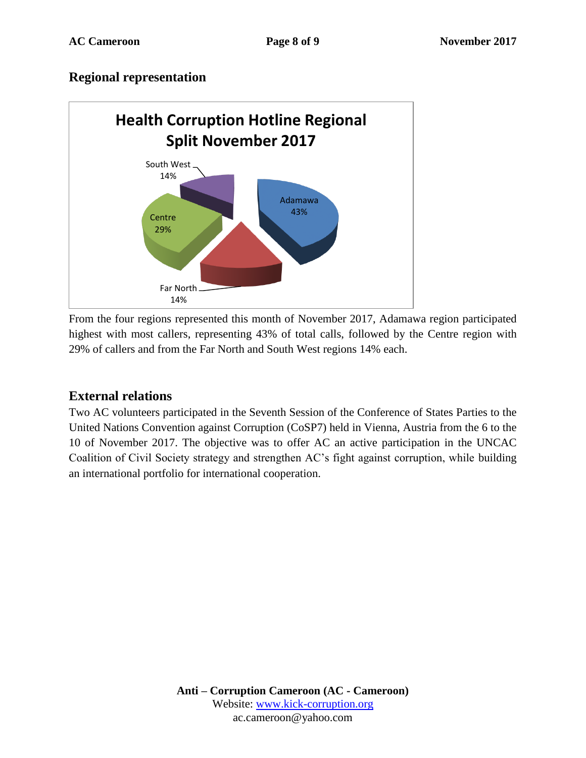#### **Regional representation**



From the four regions represented this month of November 2017, Adamawa region participated highest with most callers, representing 43% of total calls, followed by the Centre region with 29% of callers and from the Far North and South West regions 14% each.

## **External relations**

Two AC volunteers participated in the Seventh Session of the Conference of States Parties to the United Nations Convention against Corruption (CoSP7) held in Vienna, Austria from the 6 to the 10 of November 2017. The objective was to offer AC an active participation in the UNCAC Coalition of Civil Society strategy and strengthen AC's fight against corruption, while building an international portfolio for international cooperation.